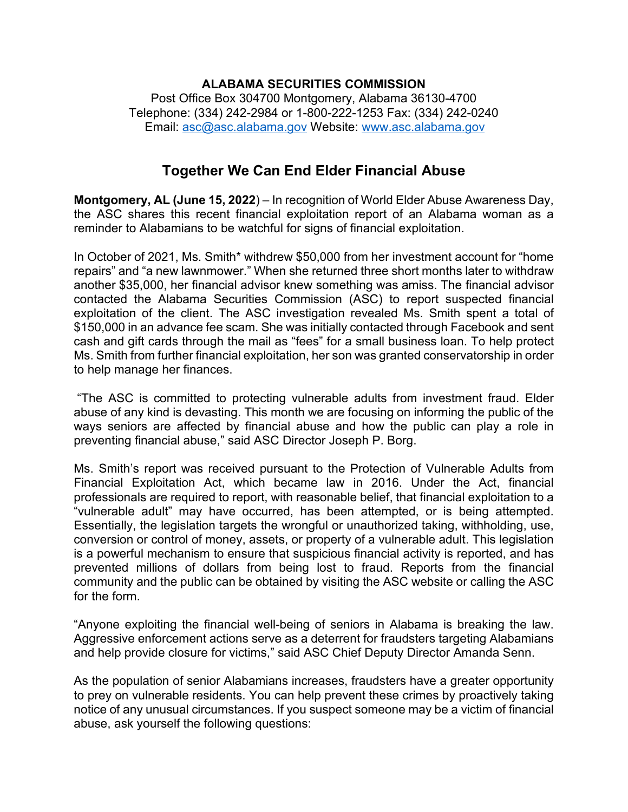## **ALABAMA SECURITIES COMMISSION** Post Office Box 304700 Montgomery, Alabama 36130-4700 Telephone: (334) 242-2984 or 1-800-222-1253 Fax: (334) 242-0240 Email: [asc@asc.alabama.gov](mailto:asc@asc.alabama.gov) Website: [www.asc.alabama.gov](http://www.asc.alabama.gov/)

## **Together We Can End Elder Financial Abuse**

**Montgomery, AL (June 15, 2022**) – In recognition of World Elder Abuse Awareness Day, the ASC shares this recent financial exploitation report of an Alabama woman as a reminder to Alabamians to be watchful for signs of financial exploitation.

In October of 2021, Ms. Smith\* withdrew \$50,000 from her investment account for "home repairs" and "a new lawnmower." When she returned three short months later to withdraw another \$35,000, her financial advisor knew something was amiss. The financial advisor contacted the Alabama Securities Commission (ASC) to report suspected financial exploitation of the client. The ASC investigation revealed Ms. Smith spent a total of \$150,000 in an advance fee scam. She was initially contacted through Facebook and sent cash and gift cards through the mail as "fees" for a small business loan. To help protect Ms. Smith from further financial exploitation, her son was granted conservatorship in order to help manage her finances.

"The ASC is committed to protecting vulnerable adults from investment fraud. Elder abuse of any kind is devasting. This month we are focusing on informing the public of the ways seniors are affected by financial abuse and how the public can play a role in preventing financial abuse," said ASC Director Joseph P. Borg.

Ms. Smith's report was received pursuant to the Protection of Vulnerable Adults from Financial Exploitation Act, which became law in 2016. Under the Act, financial professionals are required to report, with reasonable belief, that financial exploitation to a "vulnerable adult" may have occurred, has been attempted, or is being attempted. Essentially, the legislation targets the wrongful or unauthorized taking, withholding, use, conversion or control of money, assets, or property of a vulnerable adult. This legislation is a powerful mechanism to ensure that suspicious financial activity is reported, and has prevented millions of dollars from being lost to fraud. Reports from the financial community and the public can be obtained by visiting the ASC website or calling the ASC for the form.

"Anyone exploiting the financial well-being of seniors in Alabama is breaking the law. Aggressive enforcement actions serve as a deterrent for fraudsters targeting Alabamians and help provide closure for victims," said ASC Chief Deputy Director Amanda Senn.

As the population of senior Alabamians increases, fraudsters have a greater opportunity to prey on vulnerable residents. You can help prevent these crimes by proactively taking notice of any unusual circumstances. If you suspect someone may be a victim of financial abuse, ask yourself the following questions: